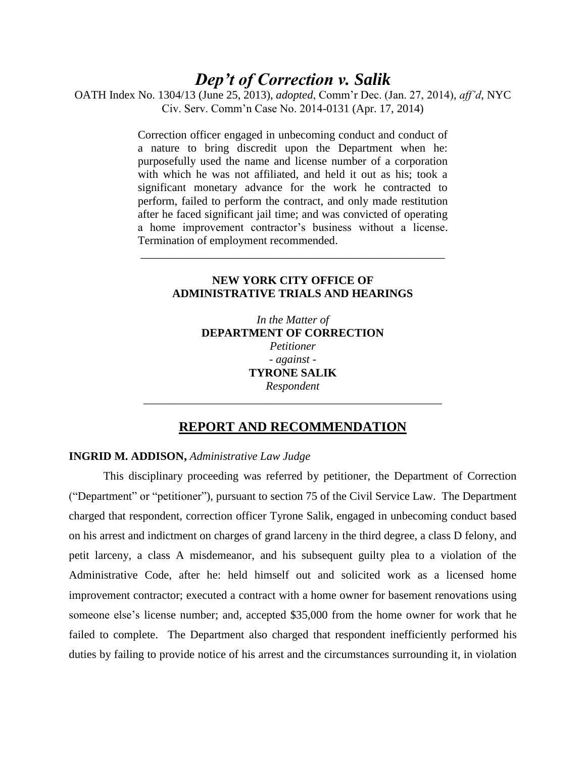# *Dep't of Correction v. Salik*

OATH Index No. 1304/13 (June 25, 2013), *adopted*, Comm'r Dec. (Jan. 27, 2014), *aff'd*, NYC Civ. Serv. Comm'n Case No. 2014-0131 (Apr. 17, 2014)

> Correction officer engaged in unbecoming conduct and conduct of a nature to bring discredit upon the Department when he: purposefully used the name and license number of a corporation with which he was not affiliated, and held it out as his; took a significant monetary advance for the work he contracted to perform, failed to perform the contract, and only made restitution after he faced significant jail time; and was convicted of operating a home improvement contractor's business without a license. Termination of employment recommended.

## **NEW YORK CITY OFFICE OF ADMINISTRATIVE TRIALS AND HEARINGS**

\_\_\_\_\_\_\_\_\_\_\_\_\_\_\_\_\_\_\_\_\_\_\_\_\_\_\_\_\_\_\_\_\_\_\_\_\_\_\_\_\_\_\_\_\_\_\_\_\_\_\_\_\_

*In the Matter of*  **DEPARTMENT OF CORRECTION**  *Petitioner - against -* **TYRONE SALIK** *Respondent*

# **REPORT AND RECOMMENDATION**

\_\_\_\_\_\_\_\_\_\_\_\_\_\_\_\_\_\_\_\_\_\_\_\_\_\_\_\_\_\_\_\_\_\_\_\_\_\_\_\_\_\_\_\_\_\_\_\_\_\_\_\_

#### **INGRID M. ADDISON,** *Administrative Law Judge*

This disciplinary proceeding was referred by petitioner, the Department of Correction ("Department" or "petitioner"), pursuant to section 75 of the Civil Service Law. The Department charged that respondent, correction officer Tyrone Salik, engaged in unbecoming conduct based on his arrest and indictment on charges of grand larceny in the third degree, a class D felony, and petit larceny, a class A misdemeanor, and his subsequent guilty plea to a violation of the Administrative Code, after he: held himself out and solicited work as a licensed home improvement contractor; executed a contract with a home owner for basement renovations using someone else's license number; and, accepted \$35,000 from the home owner for work that he failed to complete. The Department also charged that respondent inefficiently performed his duties by failing to provide notice of his arrest and the circumstances surrounding it, in violation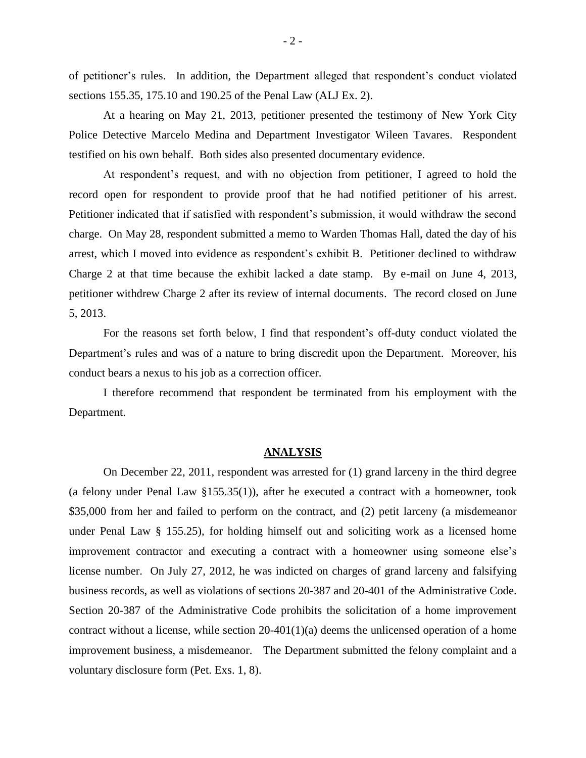of petitioner's rules. In addition, the Department alleged that respondent's conduct violated sections 155.35, 175.10 and 190.25 of the Penal Law (ALJ Ex. 2).

At a hearing on May 21, 2013, petitioner presented the testimony of New York City Police Detective Marcelo Medina and Department Investigator Wileen Tavares. Respondent testified on his own behalf. Both sides also presented documentary evidence.

At respondent's request, and with no objection from petitioner, I agreed to hold the record open for respondent to provide proof that he had notified petitioner of his arrest. Petitioner indicated that if satisfied with respondent's submission, it would withdraw the second charge. On May 28, respondent submitted a memo to Warden Thomas Hall, dated the day of his arrest, which I moved into evidence as respondent's exhibit B. Petitioner declined to withdraw Charge 2 at that time because the exhibit lacked a date stamp. By e-mail on June 4, 2013, petitioner withdrew Charge 2 after its review of internal documents. The record closed on June 5, 2013.

For the reasons set forth below, I find that respondent's off-duty conduct violated the Department's rules and was of a nature to bring discredit upon the Department. Moreover, his conduct bears a nexus to his job as a correction officer.

I therefore recommend that respondent be terminated from his employment with the Department.

#### **ANALYSIS**

On December 22, 2011, respondent was arrested for (1) grand larceny in the third degree (a felony under Penal Law §155.35(1)), after he executed a contract with a homeowner, took \$35,000 from her and failed to perform on the contract, and (2) petit larceny (a misdemeanor under Penal Law § 155.25), for holding himself out and soliciting work as a licensed home improvement contractor and executing a contract with a homeowner using someone else's license number. On July 27, 2012, he was indicted on charges of grand larceny and falsifying business records, as well as violations of sections 20-387 and 20-401 of the Administrative Code. Section 20-387 of the Administrative Code prohibits the solicitation of a home improvement contract without a license, while section 20-401(1)(a) deems the unlicensed operation of a home improvement business, a misdemeanor. The Department submitted the felony complaint and a voluntary disclosure form (Pet. Exs. 1, 8).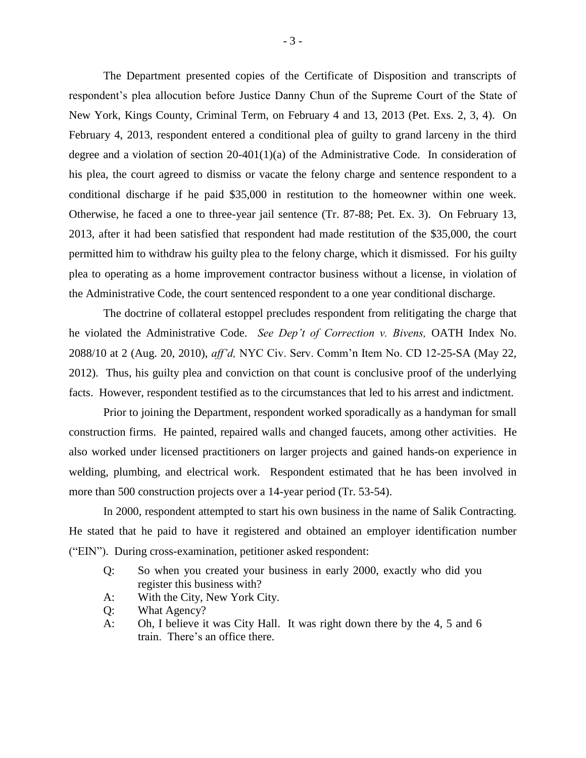The Department presented copies of the Certificate of Disposition and transcripts of respondent's plea allocution before Justice Danny Chun of the Supreme Court of the State of New York, Kings County, Criminal Term, on February 4 and 13, 2013 (Pet. Exs. 2, 3, 4). On February 4, 2013, respondent entered a conditional plea of guilty to grand larceny in the third degree and a violation of section 20-401(1)(a) of the Administrative Code. In consideration of his plea, the court agreed to dismiss or vacate the felony charge and sentence respondent to a conditional discharge if he paid \$35,000 in restitution to the homeowner within one week. Otherwise, he faced a one to three-year jail sentence (Tr. 87-88; Pet. Ex. 3). On February 13, 2013, after it had been satisfied that respondent had made restitution of the \$35,000, the court permitted him to withdraw his guilty plea to the felony charge, which it dismissed. For his guilty plea to operating as a home improvement contractor business without a license, in violation of the Administrative Code, the court sentenced respondent to a one year conditional discharge.

The doctrine of collateral estoppel precludes respondent from relitigating the charge that he violated the Administrative Code. *See Dep't of Correction v. Bivens,* OATH Index No. 2088/10 at 2 (Aug. 20, 2010), *aff'd,* NYC Civ. Serv. Comm'n Item No. CD 12-25-SA (May 22, 2012). Thus, his guilty plea and conviction on that count is conclusive proof of the underlying facts. However, respondent testified as to the circumstances that led to his arrest and indictment.

Prior to joining the Department, respondent worked sporadically as a handyman for small construction firms. He painted, repaired walls and changed faucets, among other activities. He also worked under licensed practitioners on larger projects and gained hands-on experience in welding, plumbing, and electrical work. Respondent estimated that he has been involved in more than 500 construction projects over a 14-year period (Tr. 53-54).

In 2000, respondent attempted to start his own business in the name of Salik Contracting. He stated that he paid to have it registered and obtained an employer identification number ("EIN"). During cross-examination, petitioner asked respondent:

- Q: So when you created your business in early 2000, exactly who did you register this business with?
- A: With the City, New York City.
- Q: What Agency?
- A: Oh, I believe it was City Hall. It was right down there by the 4, 5 and 6 train. There's an office there.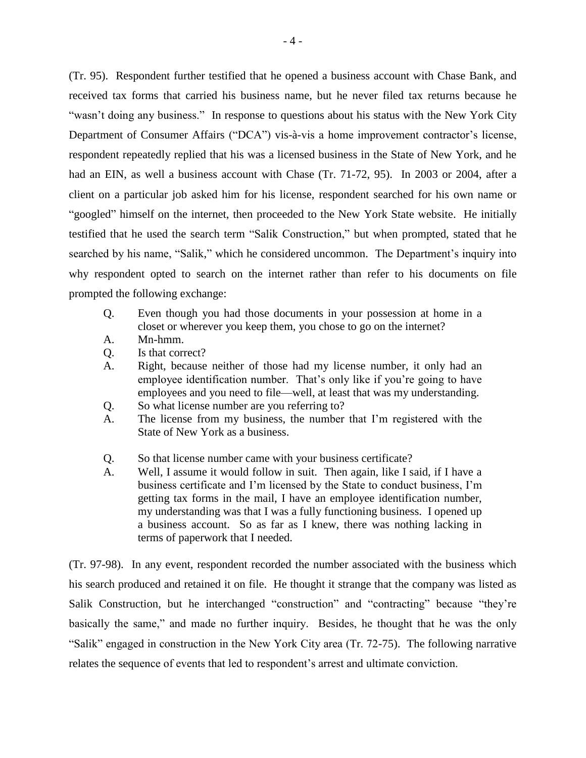(Tr. 95). Respondent further testified that he opened a business account with Chase Bank, and received tax forms that carried his business name, but he never filed tax returns because he "wasn't doing any business." In response to questions about his status with the New York City Department of Consumer Affairs ("DCA") vis-à-vis a home improvement contractor's license, respondent repeatedly replied that his was a licensed business in the State of New York, and he had an EIN, as well a business account with Chase (Tr. 71-72, 95). In 2003 or 2004, after a client on a particular job asked him for his license, respondent searched for his own name or "googled" himself on the internet, then proceeded to the New York State website. He initially testified that he used the search term "Salik Construction," but when prompted, stated that he searched by his name, "Salik," which he considered uncommon. The Department's inquiry into why respondent opted to search on the internet rather than refer to his documents on file prompted the following exchange:

- Q. Even though you had those documents in your possession at home in a closet or wherever you keep them, you chose to go on the internet?
- A. Mn-hmm.
- Q. Is that correct?
- A. Right, because neither of those had my license number, it only had an employee identification number. That's only like if you're going to have employees and you need to file—well, at least that was my understanding.
- Q. So what license number are you referring to?
- A. The license from my business, the number that I'm registered with the State of New York as a business.
- Q. So that license number came with your business certificate?
- A. Well, I assume it would follow in suit. Then again, like I said, if I have a business certificate and I'm licensed by the State to conduct business, I'm getting tax forms in the mail, I have an employee identification number, my understanding was that I was a fully functioning business. I opened up a business account. So as far as I knew, there was nothing lacking in terms of paperwork that I needed.

(Tr. 97-98). In any event, respondent recorded the number associated with the business which his search produced and retained it on file. He thought it strange that the company was listed as Salik Construction, but he interchanged "construction" and "contracting" because "they're basically the same," and made no further inquiry. Besides, he thought that he was the only "Salik" engaged in construction in the New York City area (Tr. 72-75). The following narrative relates the sequence of events that led to respondent's arrest and ultimate conviction.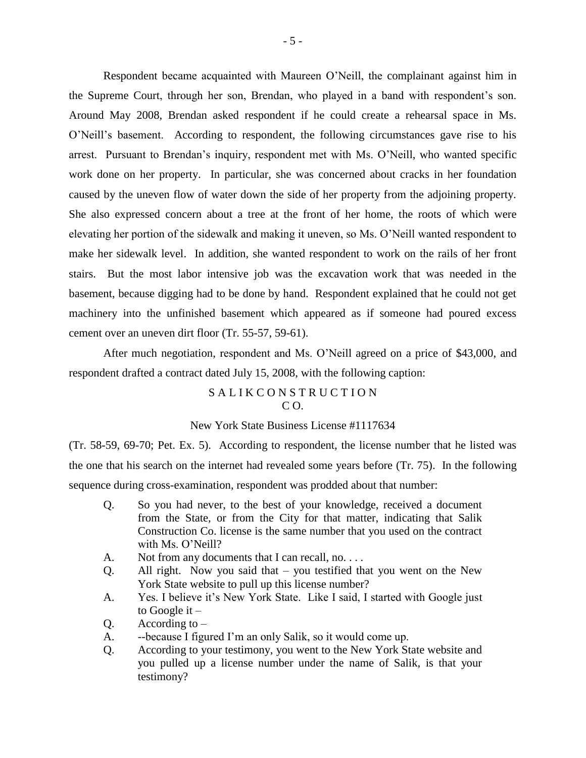Respondent became acquainted with Maureen O'Neill, the complainant against him in the Supreme Court, through her son, Brendan, who played in a band with respondent's son. Around May 2008, Brendan asked respondent if he could create a rehearsal space in Ms. O'Neill's basement. According to respondent, the following circumstances gave rise to his arrest. Pursuant to Brendan's inquiry, respondent met with Ms. O'Neill, who wanted specific work done on her property. In particular, she was concerned about cracks in her foundation caused by the uneven flow of water down the side of her property from the adjoining property. She also expressed concern about a tree at the front of her home, the roots of which were elevating her portion of the sidewalk and making it uneven, so Ms. O'Neill wanted respondent to make her sidewalk level. In addition, she wanted respondent to work on the rails of her front stairs. But the most labor intensive job was the excavation work that was needed in the basement, because digging had to be done by hand. Respondent explained that he could not get machinery into the unfinished basement which appeared as if someone had poured excess cement over an uneven dirt floor (Tr. 55-57, 59-61).

After much negotiation, respondent and Ms. O'Neill agreed on a price of \$43,000, and respondent drafted a contract dated July 15, 2008, with the following caption:

#### SALIKCONSTRUCTION  $C<sub>O</sub>$ .

#### New York State Business License #1117634

(Tr. 58-59, 69-70; Pet. Ex. 5). According to respondent, the license number that he listed was the one that his search on the internet had revealed some years before (Tr. 75). In the following sequence during cross-examination, respondent was prodded about that number:

- Q. So you had never, to the best of your knowledge, received a document from the State, or from the City for that matter, indicating that Salik Construction Co. license is the same number that you used on the contract with Ms. O'Neill?
- A. Not from any documents that I can recall, no. . . .
- Q. All right. Now you said that you testified that you went on the New York State website to pull up this license number?
- A. Yes. I believe it's New York State. Like I said, I started with Google just to Google it –
- $Q.$  According to  $-$
- A. --because I figured I'm an only Salik, so it would come up.
- Q. According to your testimony, you went to the New York State website and you pulled up a license number under the name of Salik, is that your testimony?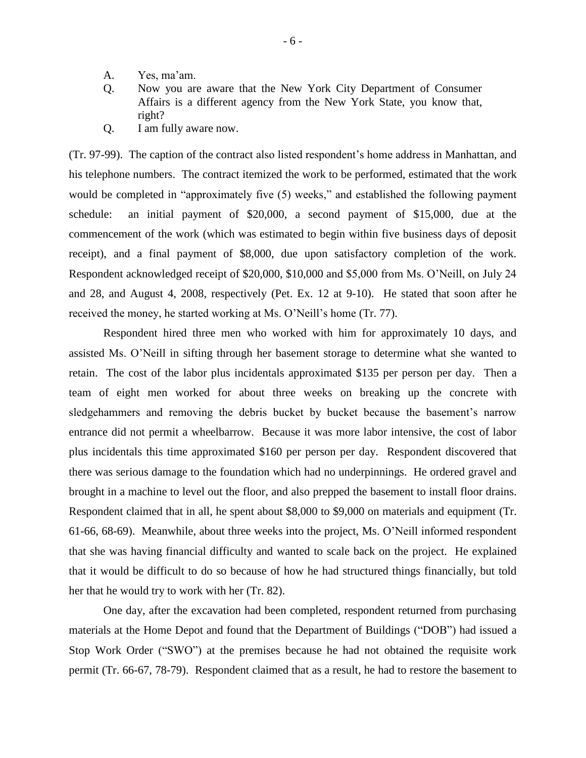- A. Yes, ma'am.
- Q. Now you are aware that the New York City Department of Consumer Affairs is a different agency from the New York State, you know that, right?
- Q. I am fully aware now.

(Tr. 97-99). The caption of the contract also listed respondent's home address in Manhattan, and his telephone numbers. The contract itemized the work to be performed, estimated that the work would be completed in "approximately five  $(5)$  weeks," and established the following payment schedule: an initial payment of \$20,000, a second payment of \$15,000, due at the commencement of the work (which was estimated to begin within five business days of deposit receipt), and a final payment of \$8,000, due upon satisfactory completion of the work. Respondent acknowledged receipt of \$20,000, \$10,000 and \$5,000 from Ms. O'Neill, on July 24 and 28, and August 4, 2008, respectively (Pet. Ex. 12 at 9-10). He stated that soon after he received the money, he started working at Ms. O'Neill's home (Tr. 77).

Respondent hired three men who worked with him for approximately 10 days, and assisted Ms. O'Neill in sifting through her basement storage to determine what she wanted to retain. The cost of the labor plus incidentals approximated \$135 per person per day. Then a team of eight men worked for about three weeks on breaking up the concrete with sledgehammers and removing the debris bucket by bucket because the basement's narrow entrance did not permit a wheelbarrow. Because it was more labor intensive, the cost of labor plus incidentals this time approximated \$160 per person per day. Respondent discovered that there was serious damage to the foundation which had no underpinnings. He ordered gravel and brought in a machine to level out the floor, and also prepped the basement to install floor drains. Respondent claimed that in all, he spent about \$8,000 to \$9,000 on materials and equipment (Tr. 61-66, 68-69). Meanwhile, about three weeks into the project, Ms. O'Neill informed respondent that she was having financial difficulty and wanted to scale back on the project. He explained that it would be difficult to do so because of how he had structured things financially, but told her that he would try to work with her (Tr. 82).

One day, after the excavation had been completed, respondent returned from purchasing materials at the Home Depot and found that the Department of Buildings ("DOB") had issued a Stop Work Order ("SWO") at the premises because he had not obtained the requisite work permit (Tr. 66-67, 78-79). Respondent claimed that as a result, he had to restore the basement to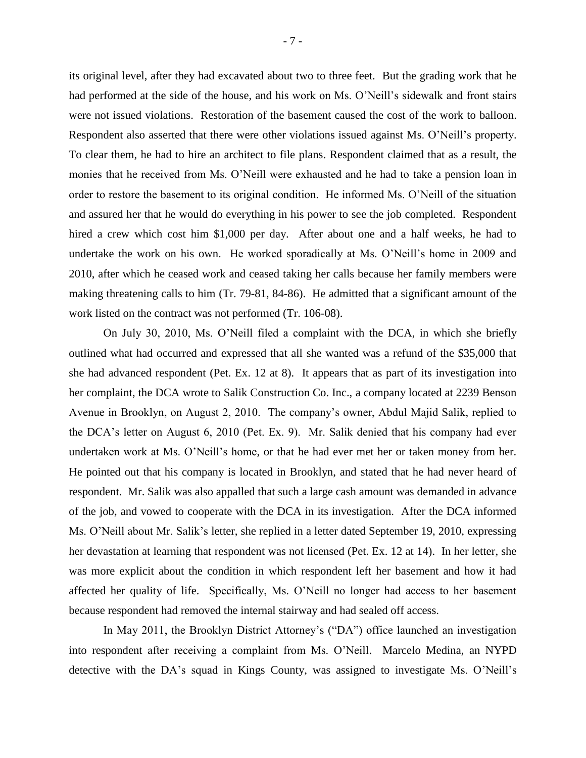its original level, after they had excavated about two to three feet. But the grading work that he had performed at the side of the house, and his work on Ms. O'Neill's sidewalk and front stairs were not issued violations. Restoration of the basement caused the cost of the work to balloon. Respondent also asserted that there were other violations issued against Ms. O'Neill's property. To clear them, he had to hire an architect to file plans. Respondent claimed that as a result, the monies that he received from Ms. O'Neill were exhausted and he had to take a pension loan in order to restore the basement to its original condition. He informed Ms. O'Neill of the situation and assured her that he would do everything in his power to see the job completed. Respondent hired a crew which cost him \$1,000 per day. After about one and a half weeks, he had to undertake the work on his own. He worked sporadically at Ms. O'Neill's home in 2009 and 2010, after which he ceased work and ceased taking her calls because her family members were making threatening calls to him (Tr. 79-81, 84-86). He admitted that a significant amount of the work listed on the contract was not performed (Tr. 106-08).

On July 30, 2010, Ms. O'Neill filed a complaint with the DCA, in which she briefly outlined what had occurred and expressed that all she wanted was a refund of the \$35,000 that she had advanced respondent (Pet. Ex. 12 at 8). It appears that as part of its investigation into her complaint, the DCA wrote to Salik Construction Co. Inc., a company located at 2239 Benson Avenue in Brooklyn, on August 2, 2010. The company's owner, Abdul Majid Salik, replied to the DCA's letter on August 6, 2010 (Pet. Ex. 9). Mr. Salik denied that his company had ever undertaken work at Ms. O'Neill's home, or that he had ever met her or taken money from her. He pointed out that his company is located in Brooklyn, and stated that he had never heard of respondent. Mr. Salik was also appalled that such a large cash amount was demanded in advance of the job, and vowed to cooperate with the DCA in its investigation. After the DCA informed Ms. O'Neill about Mr. Salik's letter, she replied in a letter dated September 19, 2010, expressing her devastation at learning that respondent was not licensed (Pet. Ex. 12 at 14). In her letter, she was more explicit about the condition in which respondent left her basement and how it had affected her quality of life. Specifically, Ms. O'Neill no longer had access to her basement because respondent had removed the internal stairway and had sealed off access.

In May 2011, the Brooklyn District Attorney's ("DA") office launched an investigation into respondent after receiving a complaint from Ms. O'Neill. Marcelo Medina, an NYPD detective with the DA's squad in Kings County, was assigned to investigate Ms. O'Neill's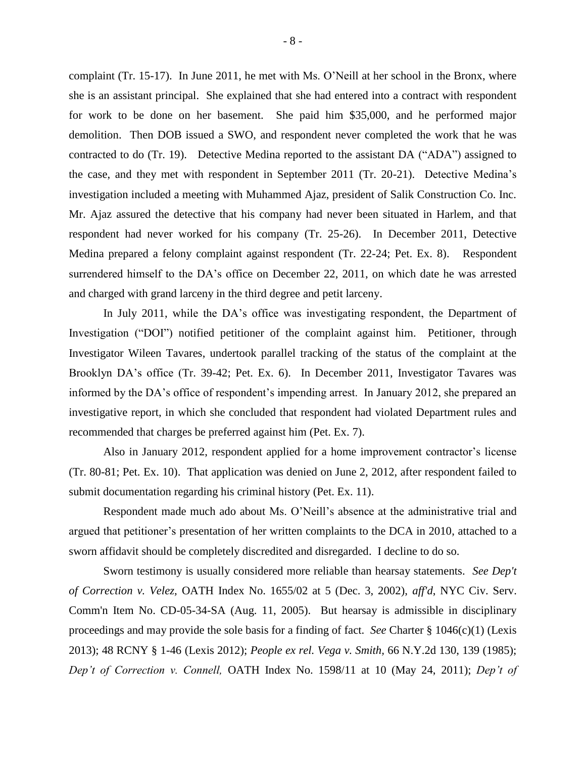complaint (Tr. 15-17). In June 2011, he met with Ms. O'Neill at her school in the Bronx, where she is an assistant principal. She explained that she had entered into a contract with respondent for work to be done on her basement. She paid him \$35,000, and he performed major demolition. Then DOB issued a SWO, and respondent never completed the work that he was contracted to do (Tr. 19). Detective Medina reported to the assistant DA ("ADA") assigned to the case, and they met with respondent in September 2011 (Tr. 20-21). Detective Medina's investigation included a meeting with Muhammed Ajaz, president of Salik Construction Co. Inc. Mr. Ajaz assured the detective that his company had never been situated in Harlem, and that respondent had never worked for his company (Tr. 25-26). In December 2011, Detective Medina prepared a felony complaint against respondent (Tr. 22-24; Pet. Ex. 8). Respondent surrendered himself to the DA's office on December 22, 2011, on which date he was arrested and charged with grand larceny in the third degree and petit larceny.

In July 2011, while the DA's office was investigating respondent, the Department of Investigation ("DOI") notified petitioner of the complaint against him. Petitioner, through Investigator Wileen Tavares, undertook parallel tracking of the status of the complaint at the Brooklyn DA's office (Tr. 39-42; Pet. Ex. 6). In December 2011, Investigator Tavares was informed by the DA's office of respondent's impending arrest. In January 2012, she prepared an investigative report, in which she concluded that respondent had violated Department rules and recommended that charges be preferred against him (Pet. Ex. 7).

Also in January 2012, respondent applied for a home improvement contractor's license (Tr. 80-81; Pet. Ex. 10). That application was denied on June 2, 2012, after respondent failed to submit documentation regarding his criminal history (Pet. Ex. 11).

Respondent made much ado about Ms. O'Neill's absence at the administrative trial and argued that petitioner's presentation of her written complaints to the DCA in 2010, attached to a sworn affidavit should be completely discredited and disregarded. I decline to do so.

Sworn testimony is usually considered more reliable than hearsay statements. *See Dep't of Correction v. Velez,* OATH Index No. 1655/02 at 5 (Dec. 3, 2002), *aff'd*, NYC Civ. Serv. Comm'n Item No. CD-05-34-SA (Aug. 11, 2005). But hearsay is admissible in disciplinary proceedings and may provide the sole basis for a finding of fact. *See* Charter § 1046(c)(1) (Lexis 2013); 48 RCNY § 1-46 (Lexis 2012); *People ex rel. Vega v. Smith,* 66 N.Y.2d 130, 139 (1985); *Dep't of Correction v. Connell,* OATH Index No. 1598/11 at 10 (May 24, 2011); *Dep't of*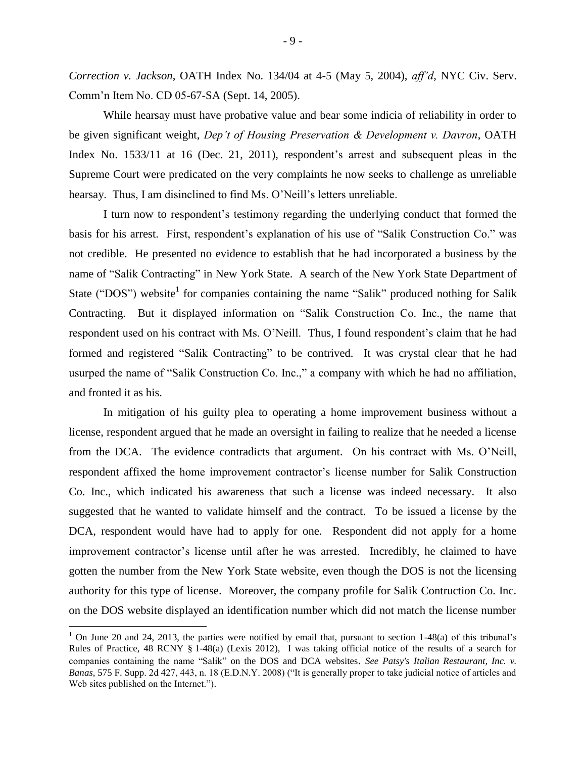*Correction v. Jackson*, OATH Index No. 134/04 at 4-5 (May 5, 2004), *aff'd*, NYC Civ. Serv. Comm'n Item No. CD 05-67-SA (Sept. 14, 2005).

While hearsay must have probative value and bear some indicia of reliability in order to be given significant weight, *Dep't of Housing Preservation & Development v. Davron*, OATH Index No. 1533/11 at 16 (Dec. 21, 2011), respondent's arrest and subsequent pleas in the Supreme Court were predicated on the very complaints he now seeks to challenge as unreliable hearsay. Thus, I am disinclined to find Ms. O'Neill's letters unreliable.

I turn now to respondent's testimony regarding the underlying conduct that formed the basis for his arrest. First, respondent's explanation of his use of "Salik Construction Co." was not credible. He presented no evidence to establish that he had incorporated a business by the name of "Salik Contracting" in New York State. A search of the New York State Department of State ("DOS") website<sup>1</sup> for companies containing the name "Salik" produced nothing for Salik Contracting. But it displayed information on "Salik Construction Co. Inc., the name that respondent used on his contract with Ms. O'Neill. Thus, I found respondent's claim that he had formed and registered "Salik Contracting" to be contrived. It was crystal clear that he had usurped the name of "Salik Construction Co. Inc.," a company with which he had no affiliation, and fronted it as his.

In mitigation of his guilty plea to operating a home improvement business without a license, respondent argued that he made an oversight in failing to realize that he needed a license from the DCA. The evidence contradicts that argument. On his contract with Ms. O'Neill, respondent affixed the home improvement contractor's license number for Salik Construction Co. Inc., which indicated his awareness that such a license was indeed necessary. It also suggested that he wanted to validate himself and the contract. To be issued a license by the DCA, respondent would have had to apply for one. Respondent did not apply for a home improvement contractor's license until after he was arrested. Incredibly, he claimed to have gotten the number from the New York State website, even though the DOS is not the licensing authority for this type of license. Moreover, the company profile for Salik Contruction Co. Inc. on the DOS website displayed an identification number which did not match the license number

 $\overline{a}$ 

 $1$  On June 20 and 24, 2013, the parties were notified by email that, pursuant to section  $1-48(a)$  of this tribunal's Rules of Practice, 48 RCNY § 1-48(a) (Lexis 2012), I was taking official notice of the results of a search for companies containing the name "Salik" on the DOS and DCA websites. *See Patsy's Italian Restaurant, Inc. v. Banas*, 575 F. Supp. 2d 427, 443, n. 18 (E.D.N.Y. 2008) ("It is generally proper to take judicial notice of articles and Web sites published on the Internet.").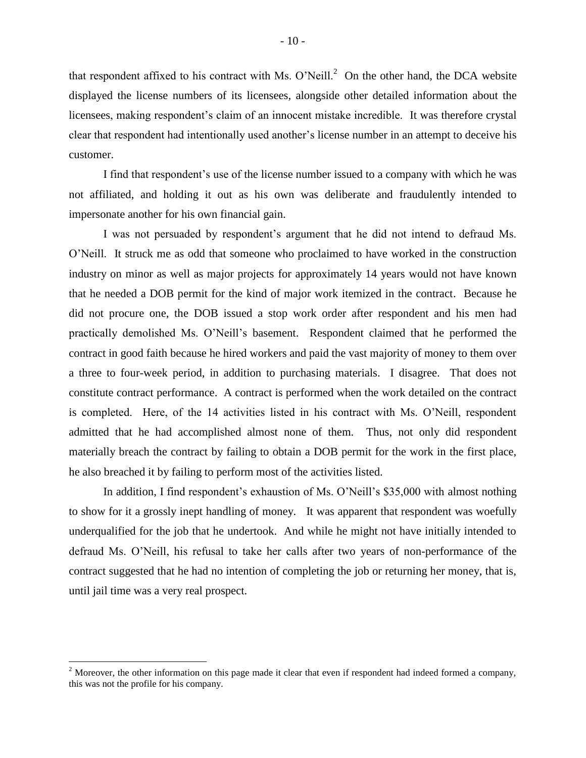that respondent affixed to his contract with Ms. O'Neill.<sup>2</sup> On the other hand, the DCA website displayed the license numbers of its licensees, alongside other detailed information about the licensees, making respondent's claim of an innocent mistake incredible. It was therefore crystal clear that respondent had intentionally used another's license number in an attempt to deceive his customer.

I find that respondent's use of the license number issued to a company with which he was not affiliated, and holding it out as his own was deliberate and fraudulently intended to impersonate another for his own financial gain.

I was not persuaded by respondent's argument that he did not intend to defraud Ms. O'Neill. It struck me as odd that someone who proclaimed to have worked in the construction industry on minor as well as major projects for approximately 14 years would not have known that he needed a DOB permit for the kind of major work itemized in the contract. Because he did not procure one, the DOB issued a stop work order after respondent and his men had practically demolished Ms. O'Neill's basement. Respondent claimed that he performed the contract in good faith because he hired workers and paid the vast majority of money to them over a three to four-week period, in addition to purchasing materials. I disagree. That does not constitute contract performance. A contract is performed when the work detailed on the contract is completed. Here, of the 14 activities listed in his contract with Ms. O'Neill, respondent admitted that he had accomplished almost none of them. Thus, not only did respondent materially breach the contract by failing to obtain a DOB permit for the work in the first place, he also breached it by failing to perform most of the activities listed.

In addition, I find respondent's exhaustion of Ms. O'Neill's \$35,000 with almost nothing to show for it a grossly inept handling of money. It was apparent that respondent was woefully underqualified for the job that he undertook. And while he might not have initially intended to defraud Ms. O'Neill, his refusal to take her calls after two years of non-performance of the contract suggested that he had no intention of completing the job or returning her money, that is, until jail time was a very real prospect.

 $\overline{a}$ 

<sup>&</sup>lt;sup>2</sup> Moreover, the other information on this page made it clear that even if respondent had indeed formed a company, this was not the profile for his company.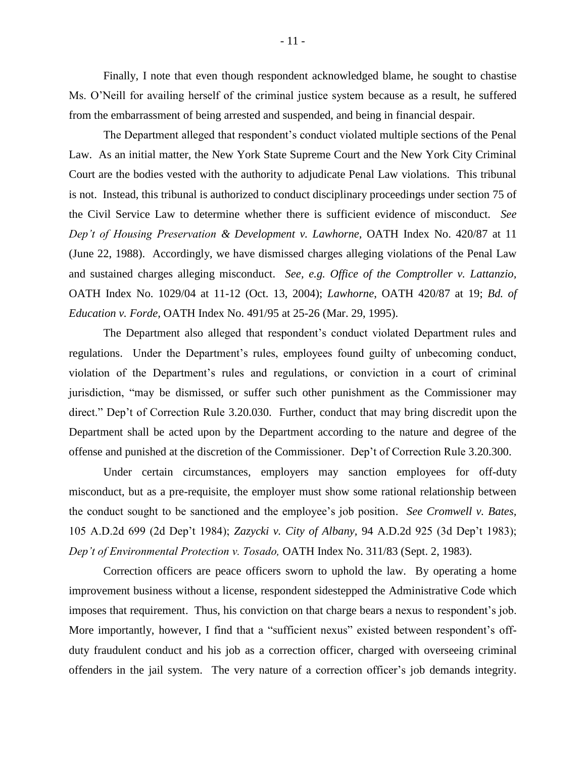Finally, I note that even though respondent acknowledged blame, he sought to chastise Ms. O'Neill for availing herself of the criminal justice system because as a result, he suffered from the embarrassment of being arrested and suspended, and being in financial despair.

The Department alleged that respondent's conduct violated multiple sections of the Penal Law. As an initial matter, the New York State Supreme Court and the New York City Criminal Court are the bodies vested with the authority to adjudicate Penal Law violations. This tribunal is not. Instead, this tribunal is authorized to conduct disciplinary proceedings under section 75 of the Civil Service Law to determine whether there is sufficient evidence of misconduct. *See Dep't of Housing Preservation & Development v. Lawhorne,* OATH Index No. 420/87 at 11 (June 22, 1988). Accordingly, we have dismissed charges alleging violations of the Penal Law and sustained charges alleging misconduct. *See, e.g. Office of the Comptroller v. Lattanzio,*  OATH Index No. 1029/04 at 11-12 (Oct. 13, 2004); *Lawhorne*, OATH 420/87 at 19; *Bd. of Education v. Forde,* OATH Index No. 491/95 at 25-26 (Mar. 29, 1995).

The Department also alleged that respondent's conduct violated Department rules and regulations. Under the Department's rules, employees found guilty of unbecoming conduct, violation of the Department's rules and regulations, or conviction in a court of criminal jurisdiction, "may be dismissed, or suffer such other punishment as the Commissioner may direct." Dep't of Correction Rule 3.20.030. Further, conduct that may bring discredit upon the Department shall be acted upon by the Department according to the nature and degree of the offense and punished at the discretion of the Commissioner. Dep't of Correction Rule 3.20.300.

Under certain circumstances, employers may sanction employees for off-duty misconduct, but as a pre-requisite, the employer must show some rational relationship between the conduct sought to be sanctioned and the employee's job position. *See Cromwell v. Bates,*  105 A.D.2d 699 (2d Dep't 1984); *Zazycki v. City of Albany,* 94 A.D.2d 925 (3d Dep't 1983); *Dep't of Environmental Protection v. Tosado,* OATH Index No. 311/83 (Sept. 2, 1983).

Correction officers are peace officers sworn to uphold the law. By operating a home improvement business without a license, respondent sidestepped the Administrative Code which imposes that requirement. Thus, his conviction on that charge bears a nexus to respondent's job. More importantly, however, I find that a "sufficient nexus" existed between respondent's offduty fraudulent conduct and his job as a correction officer, charged with overseeing criminal offenders in the jail system. The very nature of a correction officer's job demands integrity.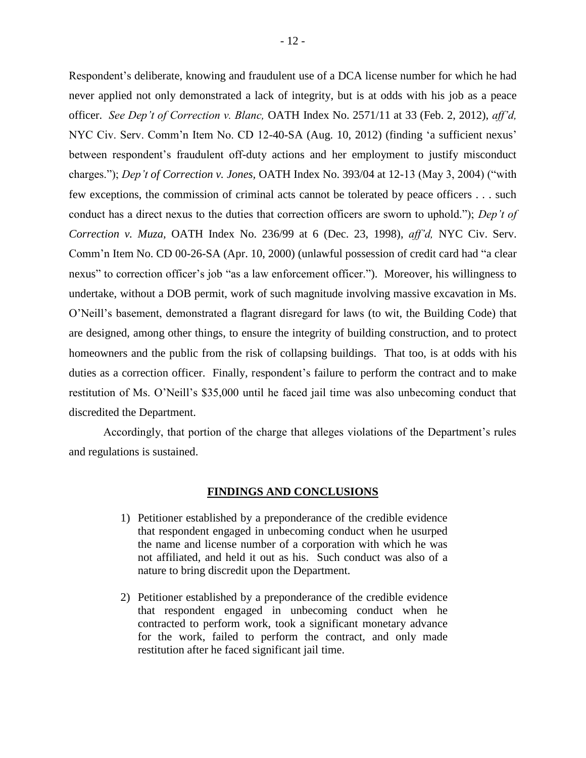Respondent's deliberate, knowing and fraudulent use of a DCA license number for which he had never applied not only demonstrated a lack of integrity, but is at odds with his job as a peace officer. *See Dep't of Correction v. Blanc,* OATH Index No. 2571/11 at 33 (Feb. 2, 2012), *aff'd,*  NYC Civ. Serv. Comm'n Item No. CD 12-40-SA (Aug. 10, 2012) (finding 'a sufficient nexus' between respondent's fraudulent off-duty actions and her employment to justify misconduct charges."); *Dep't of Correction v. Jones,* OATH Index No. 393/04 at 12-13 (May 3, 2004) ("with few exceptions, the commission of criminal acts cannot be tolerated by peace officers . . . such conduct has a direct nexus to the duties that correction officers are sworn to uphold."); *Dep't of Correction v. Muza,* OATH Index No. 236/99 at 6 (Dec. 23, 1998), *aff'd,* NYC Civ. Serv. Comm'n Item No. CD 00-26-SA (Apr. 10, 2000) (unlawful possession of credit card had "a clear nexus" to correction officer's job "as a law enforcement officer."). Moreover, his willingness to undertake, without a DOB permit, work of such magnitude involving massive excavation in Ms. O'Neill's basement, demonstrated a flagrant disregard for laws (to wit, the Building Code) that are designed, among other things, to ensure the integrity of building construction, and to protect homeowners and the public from the risk of collapsing buildings. That too, is at odds with his duties as a correction officer. Finally, respondent's failure to perform the contract and to make restitution of Ms. O'Neill's \$35,000 until he faced jail time was also unbecoming conduct that discredited the Department.

Accordingly, that portion of the charge that alleges violations of the Department's rules and regulations is sustained.

#### **FINDINGS AND CONCLUSIONS**

- 1) Petitioner established by a preponderance of the credible evidence that respondent engaged in unbecoming conduct when he usurped the name and license number of a corporation with which he was not affiliated, and held it out as his. Such conduct was also of a nature to bring discredit upon the Department.
- 2) Petitioner established by a preponderance of the credible evidence that respondent engaged in unbecoming conduct when he contracted to perform work, took a significant monetary advance for the work, failed to perform the contract, and only made restitution after he faced significant jail time.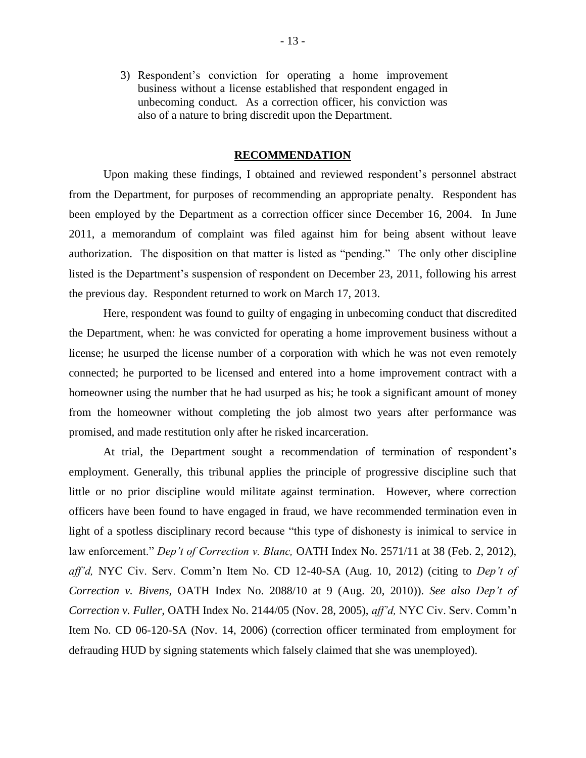3) Respondent's conviction for operating a home improvement business without a license established that respondent engaged in unbecoming conduct. As a correction officer, his conviction was also of a nature to bring discredit upon the Department.

#### **RECOMMENDATION**

Upon making these findings, I obtained and reviewed respondent's personnel abstract from the Department, for purposes of recommending an appropriate penalty. Respondent has been employed by the Department as a correction officer since December 16, 2004. In June 2011, a memorandum of complaint was filed against him for being absent without leave authorization. The disposition on that matter is listed as "pending." The only other discipline listed is the Department's suspension of respondent on December 23, 2011, following his arrest the previous day. Respondent returned to work on March 17, 2013.

Here, respondent was found to guilty of engaging in unbecoming conduct that discredited the Department, when: he was convicted for operating a home improvement business without a license; he usurped the license number of a corporation with which he was not even remotely connected; he purported to be licensed and entered into a home improvement contract with a homeowner using the number that he had usurped as his; he took a significant amount of money from the homeowner without completing the job almost two years after performance was promised, and made restitution only after he risked incarceration.

At trial, the Department sought a recommendation of termination of respondent's employment. Generally, this tribunal applies the principle of progressive discipline such that little or no prior discipline would militate against termination. However, where correction officers have been found to have engaged in fraud, we have recommended termination even in light of a spotless disciplinary record because "this type of dishonesty is inimical to service in law enforcement." *Dep't of Correction v. Blanc*, OATH Index No. 2571/11 at 38 (Feb. 2, 2012), *aff'd,* NYC Civ. Serv. Comm'n Item No. CD 12-40-SA (Aug. 10, 2012) (citing to *Dep't of Correction v. Bivens,* OATH Index No. 2088/10 at 9 (Aug. 20, 2010)). *See also Dep't of Correction v. Fuller,* OATH Index No. 2144/05 (Nov. 28, 2005), *aff'd,* NYC Civ. Serv. Comm'n Item No. CD 06-120-SA (Nov. 14, 2006) (correction officer terminated from employment for defrauding HUD by signing statements which falsely claimed that she was unemployed).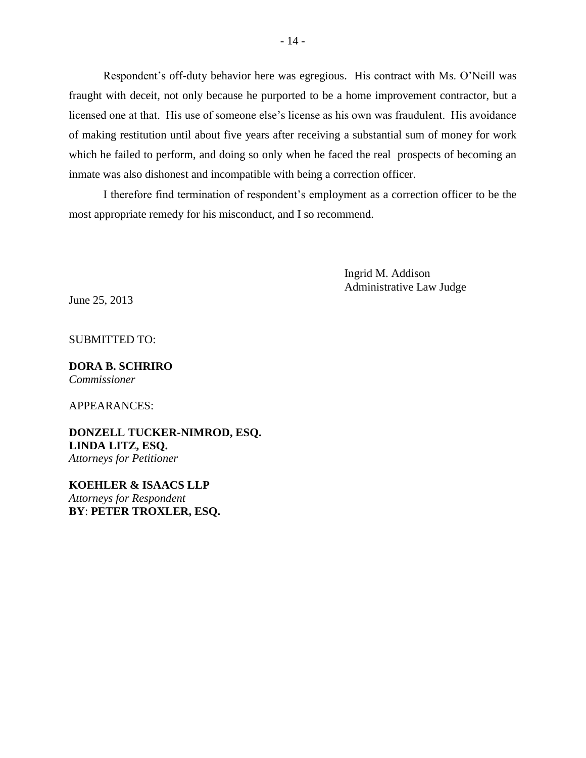Respondent's off-duty behavior here was egregious. His contract with Ms. O'Neill was fraught with deceit, not only because he purported to be a home improvement contractor, but a licensed one at that. His use of someone else's license as his own was fraudulent. His avoidance of making restitution until about five years after receiving a substantial sum of money for work which he failed to perform, and doing so only when he faced the real prospects of becoming an inmate was also dishonest and incompatible with being a correction officer.

I therefore find termination of respondent's employment as a correction officer to be the most appropriate remedy for his misconduct, and I so recommend.

> Ingrid M. Addison Administrative Law Judge

June 25, 2013

SUBMITTED TO:

#### **DORA B. SCHRIRO** *Commissioner*

APPEARANCES:

**DONZELL TUCKER-NIMROD, ESQ. LINDA LITZ, ESQ.** *Attorneys for Petitioner*

**KOEHLER & ISAACS LLP** *Attorneys for Respondent* **BY**: **PETER TROXLER, ESQ.**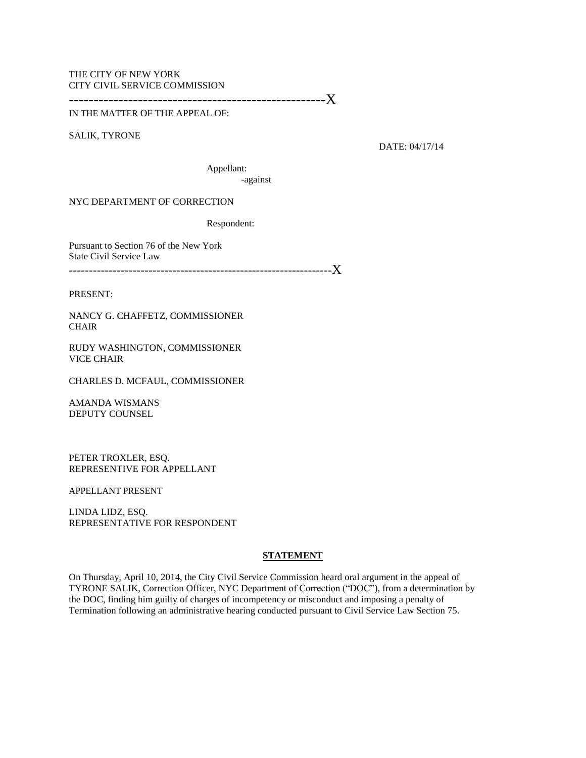#### THE CITY OF NEW YORK CITY CIVIL SERVICE COMMISSION

----------------------------------------------------X

IN THE MATTER OF THE APPEAL OF:

SALIK, TYRONE

DATE: 04/17/14

Appellant: -against

NYC DEPARTMENT OF CORRECTION

Respondent:

Pursuant to Section 76 of the New York State Civil Service Law

------------------------------------------------------------------X

PRESENT:

NANCY G. CHAFFETZ, COMMISSIONER **CHAIR** 

RUDY WASHINGTON, COMMISSIONER VICE CHAIR

CHARLES D. MCFAUL, COMMISSIONER

AMANDA WISMANS DEPUTY COUNSEL

PETER TROXLER, ESQ. REPRESENTIVE FOR APPELLANT

APPELLANT PRESENT

LINDA LIDZ, ESQ. REPRESENTATIVE FOR RESPONDENT

#### **STATEMENT**

On Thursday, April 10, 2014, the City Civil Service Commission heard oral argument in the appeal of TYRONE SALIK, Correction Officer, NYC Department of Correction ("DOC"), from a determination by the DOC, finding him guilty of charges of incompetency or misconduct and imposing a penalty of Termination following an administrative hearing conducted pursuant to Civil Service Law Section 75.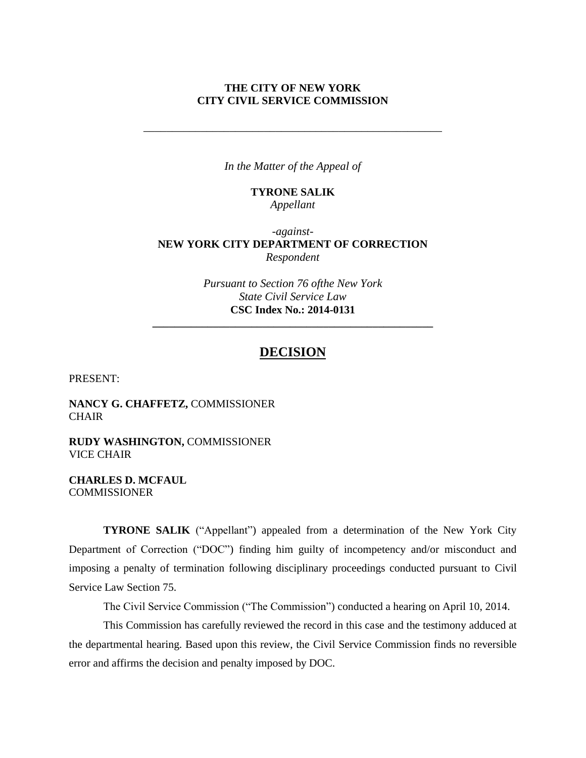### **THE CITY OF NEW YORK CITY CIVIL SERVICE COMMISSION**

*\_\_\_\_\_\_\_\_\_\_\_\_\_\_\_\_\_\_\_\_\_\_\_\_\_\_\_\_\_\_\_\_\_\_\_\_\_\_\_\_\_\_\_\_\_\_\_\_\_\_\_\_*

*In the Matter of the Appeal of*

# **TYRONE SALIK** *Appellant*

## *-against-***NEW YORK CITY DEPARTMENT OF CORRECTION** *Respondent*

*Pursuant to Section 76 ofthe New York State Civil Service Law* **CSC Index No.: 2014-0131**

**\_\_\_\_\_\_\_\_\_\_\_\_\_\_\_\_\_\_\_\_\_\_\_\_\_\_\_\_\_\_\_\_\_\_\_\_\_\_\_\_\_\_\_\_\_\_\_\_\_\_\_**

# **DECISION**

PRESENT:

**NANCY G. CHAFFETZ,** COMMISSIONER **CHAIR** 

**RUDY WASHINGTON,** COMMISSIONER VICE CHAIR

**CHARLES D. MCFAUL COMMISSIONER** 

**TYRONE SALIK** ("Appellant") appealed from a determination of the New York City Department of Correction ("DOC") finding him guilty of incompetency and/or misconduct and imposing a penalty of termination following disciplinary proceedings conducted pursuant to Civil Service Law Section 75.

The Civil Service Commission ("The Commission") conducted a hearing on April 10, 2014.

This Commission has carefully reviewed the record in this case and the testimony adduced at the departmental hearing. Based upon this review, the Civil Service Commission finds no reversible error and affirms the decision and penalty imposed by DOC.